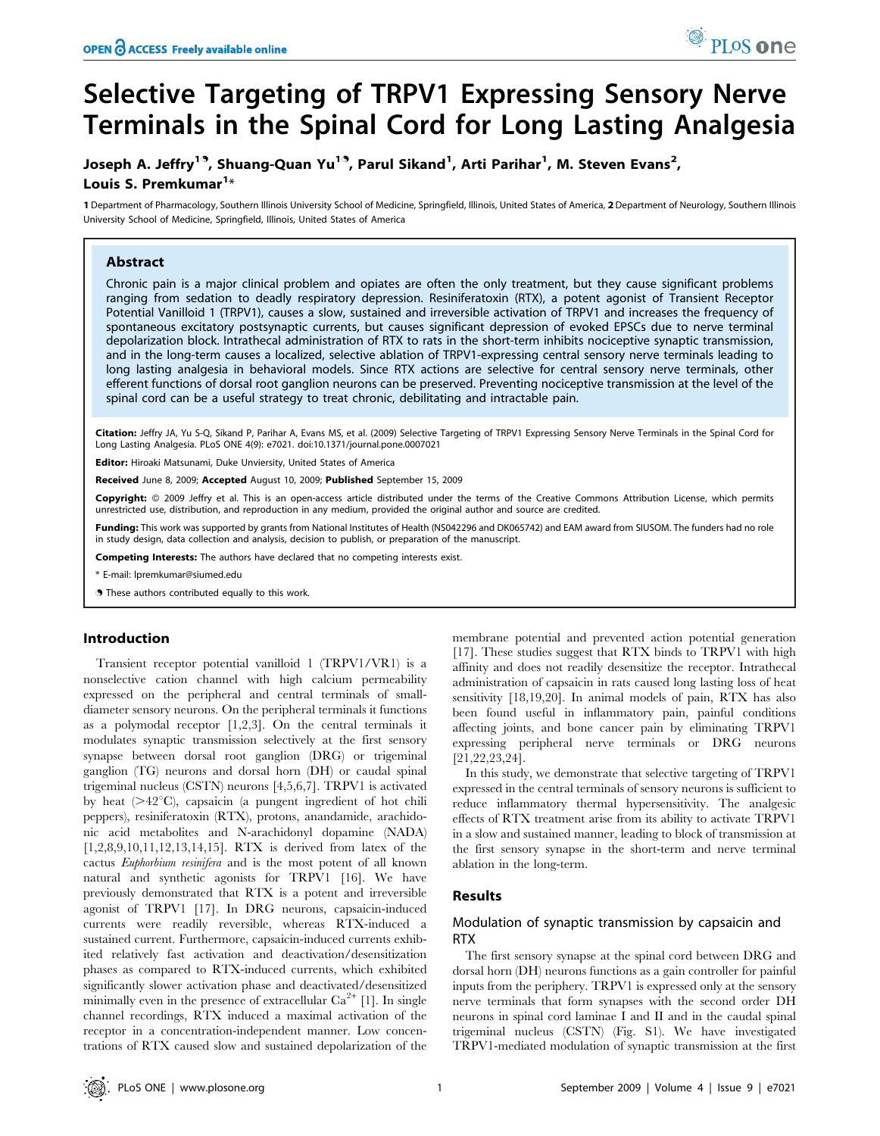# Selective Targeting of TRPV1 Expressing Sensory Nerve Terminals in the Spinal Cord for Long Lasting Analgesia

# Joseph A. Jeffry<sup>19</sup>, Shuang-Quan Yu<sup>19</sup>, Parul Sikand<sup>1</sup>, Arti Parihar<sup>1</sup>, M. Steven Evans<sup>2</sup>, Louis S. Premkumar<sup>1</sup>\*

1 Department of Pharmacology, Southern Illinois University School of Medicine, Springfield, Illinois, United States of America, 2Department of Neurology, Southern Illinois University School of Medicine, Springfield, Illinois, United States of America

# Abstract

Chronic pain is a major clinical problem and opiates are often the only treatment, but they cause significant problems ranging from sedation to deadly respiratory depression. Resiniferatoxin (RTX), a potent agonist of Transient Receptor Potential Vanilloid 1 (TRPV1), causes a slow, sustained and irreversible activation of TRPV1 and increases the frequency of spontaneous excitatory postsynaptic currents, but causes significant depression of evoked EPSCs due to nerve terminal depolarization block. Intrathecal administration of RTX to rats in the short-term inhibits nociceptive synaptic transmission, and in the long-term causes a localized, selective ablation of TRPV1-expressing central sensory nerve terminals leading to long lasting analgesia in behavioral models. Since RTX actions are selective for central sensory nerve terminals, other efferent functions of dorsal root ganglion neurons can be preserved. Preventing nociceptive transmission at the level of the spinal cord can be a useful strategy to treat chronic, debilitating and intractable pain.

Citation: Jeffry JA, Yu S-Q, Sikand P, Parihar A, Evans MS, et al. (2009) Selective Targeting of TRPV1 Expressing Sensory Nerve Terminals in the Spinal Cord for Long Lasting Analgesia. PLoS ONE 4(9): e7021. doi:10.1371/journal.pone.0007021

Editor: Hiroaki Matsunami, Duke Unviersity, United States of America

Received June 8, 2009; Accepted August 10, 2009; Published September 15, 2009

Copyright: @ 2009 Jeffry et al. This is an open-access article distributed under the terms of the Creative Commons Attribution License, which permits unrestricted use, distribution, and reproduction in any medium, provided the original author and source are credited.

Funding: This work was supported by grants from National Institutes of Health (NS042296 and DK065742) and EAM award from SIUSOM. The funders had no role in study design, data collection and analysis, decision to publish, or preparation of the manuscript.

Competing Interests: The authors have declared that no competing interests exist.

\* E-mail: lpremkumar@siumed.edu

. These authors contributed equally to this work.

#### Introduction

Transient receptor potential vanilloid 1 (TRPV1/VR1) is a nonselective cation channel with high calcium permeability expressed on the peripheral and central terminals of smalldiameter sensory neurons. On the peripheral terminals it functions as a polymodal receptor [1,2,3]. On the central terminals it modulates synaptic transmission selectively at the first sensory synapse between dorsal root ganglion (DRG) or trigeminal ganglion (TG) neurons and dorsal horn (DH) or caudal spinal trigeminal nucleus (CSTN) neurons [4,5,6,7]. TRPV1 is activated by heat  $(>= 42^{\circ}C)$ , capsaicin (a pungent ingredient of hot chili peppers), resiniferatoxin (RTX), protons, anandamide, arachidonic acid metabolites and N-arachidonyl dopamine (NADA) [1,2,8,9,10,11,12,13,14,15]. RTX is derived from latex of the cactus Euphorbium resinifera and is the most potent of all known natural and synthetic agonists for TRPV1 [16]. We have previously demonstrated that RTX is a potent and irreversible agonist of TRPV1 [17]. In DRG neurons, capsaicin-induced currents were readily reversible, whereas RTX-induced a sustained current. Furthermore, capsaicin-induced currents exhibited relatively fast activation and deactivation/desensitization phases as compared to RTX-induced currents, which exhibited significantly slower activation phase and deactivated/desensitized minimally even in the presence of extracellular  $Ca^{2+}$  [1]. In single channel recordings, RTX induced a maximal activation of the receptor in a concentration-independent manner. Low concentrations of RTX caused slow and sustained depolarization of the membrane potential and prevented action potential generation [17]. These studies suggest that RTX binds to TRPV1 with high affinity and does not readily desensitize the receptor. Intrathecal administration of capsaicin in rats caused long lasting loss of heat sensitivity [18,19,20]. In animal models of pain, RTX has also been found useful in inflammatory pain, painful conditions affecting joints, and bone cancer pain by eliminating TRPV1 expressing peripheral nerve terminals or DRG neurons [21,22,23,24].

<sup>O</sup>PLoSone

In this study, we demonstrate that selective targeting of TRPV1 expressed in the central terminals of sensory neurons is sufficient to reduce inflammatory thermal hypersensitivity. The analgesic effects of RTX treatment arise from its ability to activate TRPV1 in a slow and sustained manner, leading to block of transmission at the first sensory synapse in the short-term and nerve terminal ablation in the long-term.

# Results

# Modulation of synaptic transmission by capsaicin and RTX

The first sensory synapse at the spinal cord between DRG and dorsal horn (DH) neurons functions as a gain controller for painful inputs from the periphery. TRPV1 is expressed only at the sensory nerve terminals that form synapses with the second order DH neurons in spinal cord laminae I and II and in the caudal spinal trigeminal nucleus (CSTN) (Fig. S1). We have investigated TRPV1-mediated modulation of synaptic transmission at the first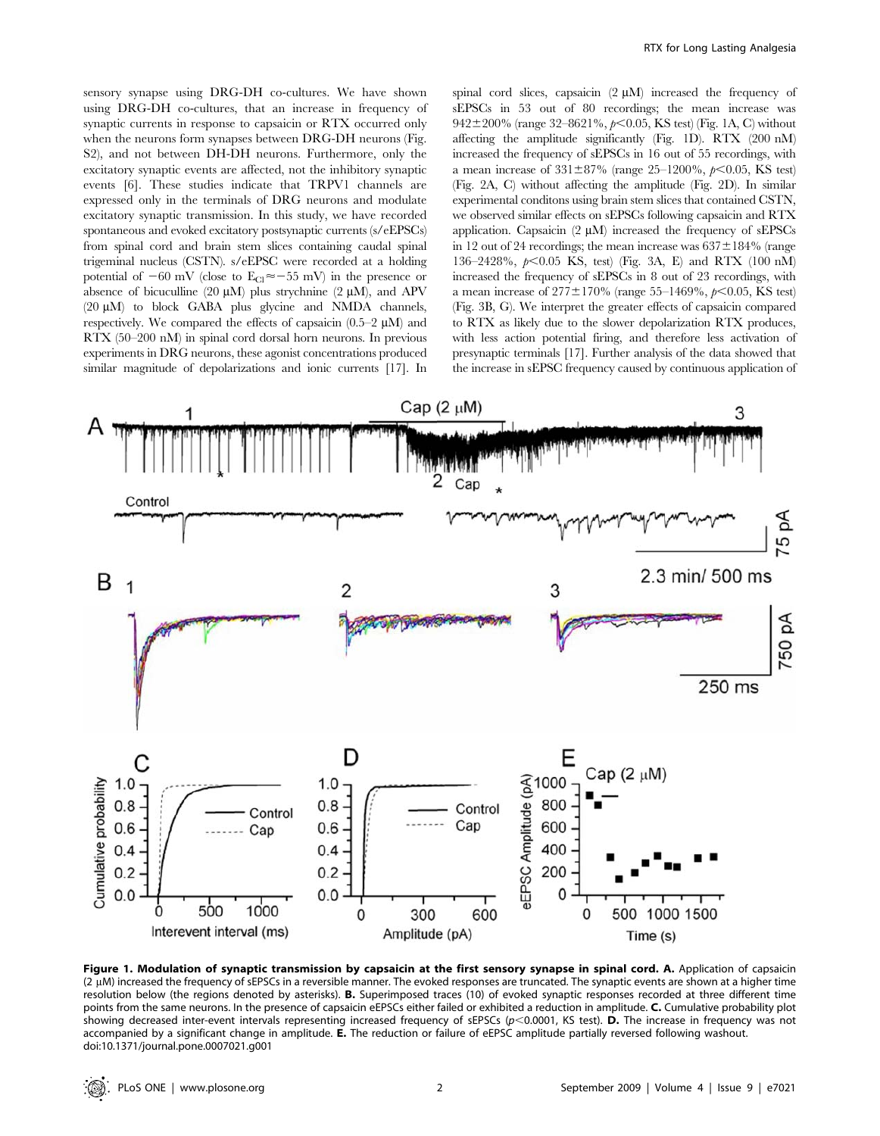sensory synapse using DRG-DH co-cultures. We have shown using DRG-DH co-cultures, that an increase in frequency of synaptic currents in response to capsaicin or RTX occurred only when the neurons form synapses between DRG-DH neurons (Fig. S2), and not between DH-DH neurons. Furthermore, only the excitatory synaptic events are affected, not the inhibitory synaptic events [6]. These studies indicate that TRPV1 channels are expressed only in the terminals of DRG neurons and modulate excitatory synaptic transmission. In this study, we have recorded spontaneous and evoked excitatory postsynaptic currents (s/eEPSCs) from spinal cord and brain stem slices containing caudal spinal trigeminal nucleus (CSTN). s/eEPSC were recorded at a holding potential of  $-60$  mV (close to  $E_{Cl} \approx -55$  mV) in the presence or absence of bicuculline (20  $\mu$ M) plus strychnine (2  $\mu$ M), and APV  $(20 \mu M)$  to block GABA plus glycine and NMDA channels, respectively. We compared the effects of capsaicin  $(0.5-2 \mu M)$  and RTX (50–200 nM) in spinal cord dorsal horn neurons. In previous experiments in DRG neurons, these agonist concentrations produced similar magnitude of depolarizations and ionic currents [17]. In spinal cord slices, capsaicin  $(2 \mu M)$  increased the frequency of sEPSCs in 53 out of 80 recordings; the mean increase was 942 $\pm$ 200% (range 32–8621%,  $p<0.05$ , KS test) (Fig. 1A, C) without affecting the amplitude significantly (Fig. 1D). RTX (200 nM) increased the frequency of sEPSCs in 16 out of 55 recordings, with a mean increase of  $331\pm87\%$  (range 25–1200%,  $p<0.05$ , KS test) (Fig. 2A, C) without affecting the amplitude (Fig. 2D). In similar experimental conditons using brain stem slices that contained CSTN, we observed similar effects on sEPSCs following capsaicin and RTX application. Capsaicin  $(2 \mu M)$  increased the frequency of sEPSCs in 12 out of 24 recordings; the mean increase was  $637 \pm 184\%$  (range 136–2428%,  $p<0.05$  KS, test) (Fig. 3A, E) and RTX (100 nM) increased the frequency of sEPSCs in 8 out of 23 recordings, with a mean increase of  $277 \pm 170\%$  (range 55–1469%,  $p < 0.05$ , KS test) (Fig. 3B, G). We interpret the greater effects of capsaicin compared to RTX as likely due to the slower depolarization RTX produces, with less action potential firing, and therefore less activation of presynaptic terminals [17]. Further analysis of the data showed that the increase in sEPSC frequency caused by continuous application of



Figure 1. Modulation of synaptic transmission by capsaicin at the first sensory synapse in spinal cord. A. Application of capsaicin  $(2 \mu M)$  increased the frequency of sEPSCs in a reversible manner. The evoked responses are truncated. The synaptic events are shown at a higher time resolution below (the regions denoted by asterisks). B. Superimposed traces (10) of evoked synaptic responses recorded at three different time points from the same neurons. In the presence of capsaicin eEPSCs either failed or exhibited a reduction in amplitude. C. Cumulative probability plot showing decreased inter-event intervals representing increased frequency of sEPSCs ( $p$ <0.0001, KS test). D. The increase in frequency was not accompanied by a significant change in amplitude. E. The reduction or failure of eEPSC amplitude partially reversed following washout. doi:10.1371/journal.pone.0007021.g001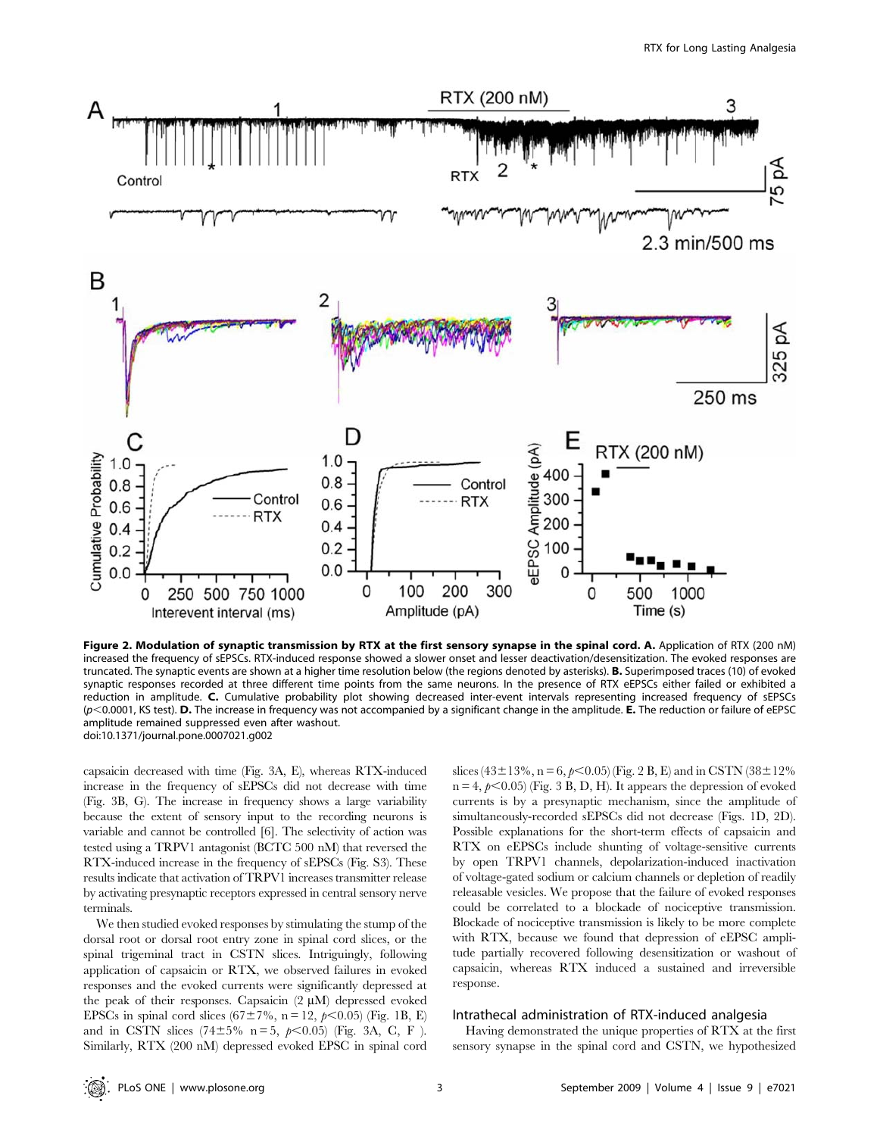

Figure 2. Modulation of synaptic transmission by RTX at the first sensory synapse in the spinal cord. A. Application of RTX (200 nM) increased the frequency of sEPSCs. RTX-induced response showed a slower onset and lesser deactivation/desensitization. The evoked responses are truncated. The synaptic events are shown at a higher time resolution below (the regions denoted by asterisks). B. Superimposed traces (10) of evoked synaptic responses recorded at three different time points from the same neurons. In the presence of RTX eEPSCs either failed or exhibited a reduction in amplitude. C. Cumulative probability plot showing decreased inter-event intervals representing increased frequency of sEPSCs  $(p<$ 0.0001, KS test). D. The increase in frequency was not accompanied by a significant change in the amplitude. E. The reduction or failure of eEPSC amplitude remained suppressed even after washout. doi:10.1371/journal.pone.0007021.g002

capsaicin decreased with time (Fig. 3A, E), whereas RTX-induced increase in the frequency of sEPSCs did not decrease with time (Fig. 3B, G). The increase in frequency shows a large variability because the extent of sensory input to the recording neurons is variable and cannot be controlled [6]. The selectivity of action was tested using a TRPV1 antagonist (BCTC 500 nM) that reversed the RTX-induced increase in the frequency of sEPSCs (Fig. S3). These results indicate that activation of TRPV1 increases transmitter release by activating presynaptic receptors expressed in central sensory nerve terminals.

We then studied evoked responses by stimulating the stump of the dorsal root or dorsal root entry zone in spinal cord slices, or the spinal trigeminal tract in CSTN slices. Intriguingly, following application of capsaicin or RTX, we observed failures in evoked responses and the evoked currents were significantly depressed at the peak of their responses. Capsaicin  $(2 \mu M)$  depressed evoked EPSCs in spinal cord slices ( $67\pm7\%$ , n = 12,  $p<0.05$ ) (Fig. 1B, E) and in CSTN slices (74±5% n = 5,  $p$ <0.05) (Fig. 3A, C, F ). Similarly, RTX (200 nM) depressed evoked EPSC in spinal cord

slices (43±13%, n = 6,  $p$ <0.05) (Fig. 2 B, E) and in CSTN (38±12%  $n = 4$ ,  $p < 0.05$ ) (Fig. 3 B, D, H). It appears the depression of evoked currents is by a presynaptic mechanism, since the amplitude of simultaneously-recorded sEPSCs did not decrease (Figs. 1D, 2D). Possible explanations for the short-term effects of capsaicin and RTX on eEPSCs include shunting of voltage-sensitive currents by open TRPV1 channels, depolarization-induced inactivation of voltage-gated sodium or calcium channels or depletion of readily releasable vesicles. We propose that the failure of evoked responses could be correlated to a blockade of nociceptive transmission. Blockade of nociceptive transmission is likely to be more complete with RTX, because we found that depression of eEPSC amplitude partially recovered following desensitization or washout of capsaicin, whereas RTX induced a sustained and irreversible response.

#### Intrathecal administration of RTX-induced analgesia

Having demonstrated the unique properties of RTX at the first sensory synapse in the spinal cord and CSTN, we hypothesized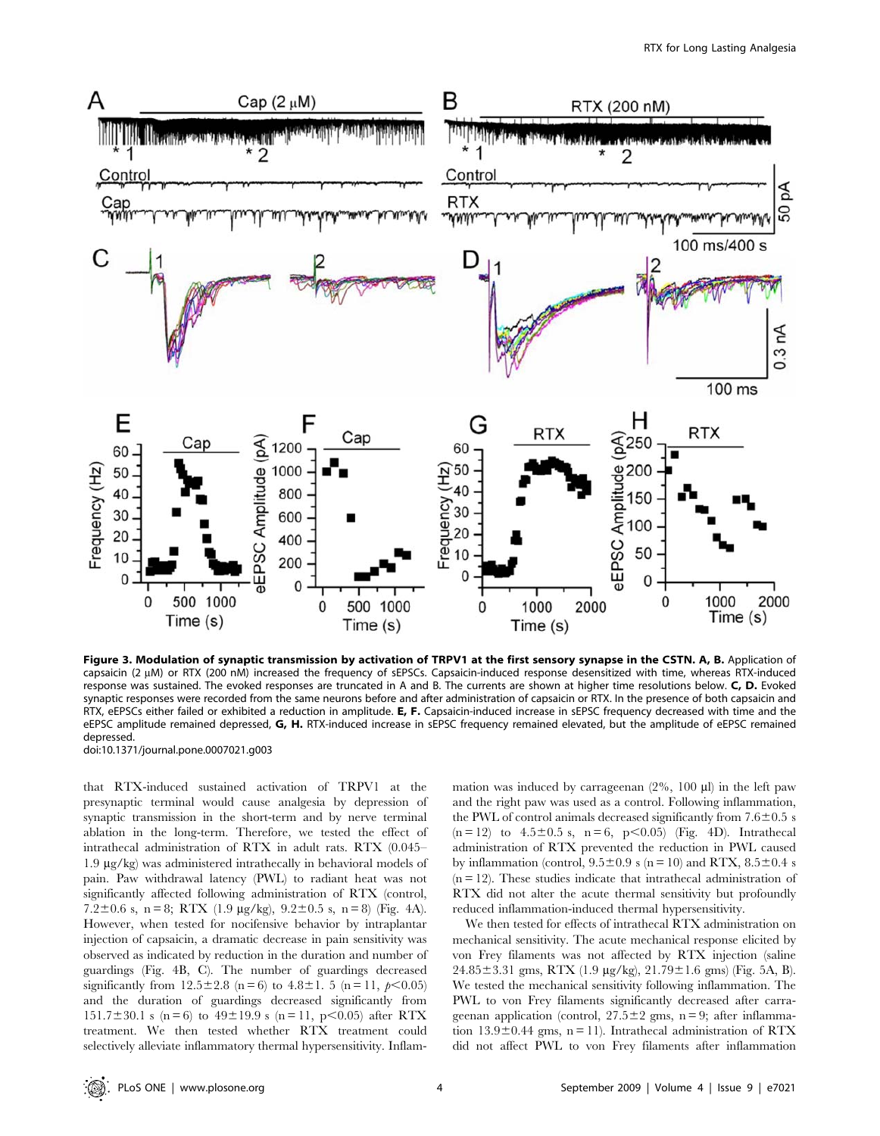

Figure 3. Modulation of synaptic transmission by activation of TRPV1 at the first sensory synapse in the CSTN. A, B. Application of capsaicin (2 µM) or RTX (200 nM) increased the frequency of sEPSCs. Capsaicin-induced response desensitized with time, whereas RTX-induced response was sustained. The evoked responses are truncated in A and B. The currents are shown at higher time resolutions below. C, D. Evoked synaptic responses were recorded from the same neurons before and after administration of capsaicin or RTX. In the presence of both capsaicin and RTX, eEPSCs either failed or exhibited a reduction in amplitude. E, F. Capsaicin-induced increase in sEPSC frequency decreased with time and the eEPSC amplitude remained depressed, G, H. RTX-induced increase in sEPSC frequency remained elevated, but the amplitude of eEPSC remained depressed.

doi:10.1371/journal.pone.0007021.g003

that RTX-induced sustained activation of TRPV1 at the presynaptic terminal would cause analgesia by depression of synaptic transmission in the short-term and by nerve terminal ablation in the long-term. Therefore, we tested the effect of intrathecal administration of RTX in adult rats. RTX (0.045– 1.9 mg/kg) was administered intrathecally in behavioral models of pain. Paw withdrawal latency (PWL) to radiant heat was not significantly affected following administration of RTX (control, 7.2 $\pm$ 0.6 s, n = 8; RTX (1.9 µg/kg), 9.2 $\pm$ 0.5 s, n = 8) (Fig. 4A). However, when tested for nocifensive behavior by intraplantar injection of capsaicin, a dramatic decrease in pain sensitivity was observed as indicated by reduction in the duration and number of guardings (Fig. 4B, C). The number of guardings decreased significantly from  $12.5\pm2.8$  (n = 6) to  $4.8\pm1.5$  (n = 11,  $p<0.05$ ) and the duration of guardings decreased significantly from 151.7 $\pm$ 30.1 s (n = 6) to 49 $\pm$ 19.9 s (n = 11, p<0.05) after RTX treatment. We then tested whether RTX treatment could selectively alleviate inflammatory thermal hypersensitivity. Inflammation was induced by carrageenan  $(2\%$ , 100  $\mu$ ) in the left paw and the right paw was used as a control. Following inflammation, the PWL of control animals decreased significantly from  $7.6\pm0.5$  s  $(n = 12)$  to  $4.5 \pm 0.5$  s,  $n = 6$ ,  $p < 0.05$  (Fig. 4D). Intrathecal administration of RTX prevented the reduction in PWL caused by inflammation (control,  $9.5\pm0.9$  s (n = 10) and RTX,  $8.5\pm0.4$  s  $(n = 12)$ . These studies indicate that intrathecal administration of RTX did not alter the acute thermal sensitivity but profoundly reduced inflammation-induced thermal hypersensitivity.

We then tested for effects of intrathecal RTX administration on mechanical sensitivity. The acute mechanical response elicited by von Frey filaments was not affected by RTX injection (saline  $24.85 \pm 3.31$  gms, RTX (1.9 µg/kg),  $21.79 \pm 1.6$  gms) (Fig. 5A, B). We tested the mechanical sensitivity following inflammation. The PWL to von Frey filaments significantly decreased after carrageenan application (control,  $27.5 \pm 2$  gms, n = 9; after inflammation  $13.9\pm0.44$  gms, n = 11). Intrathecal administration of RTX did not affect PWL to von Frey filaments after inflammation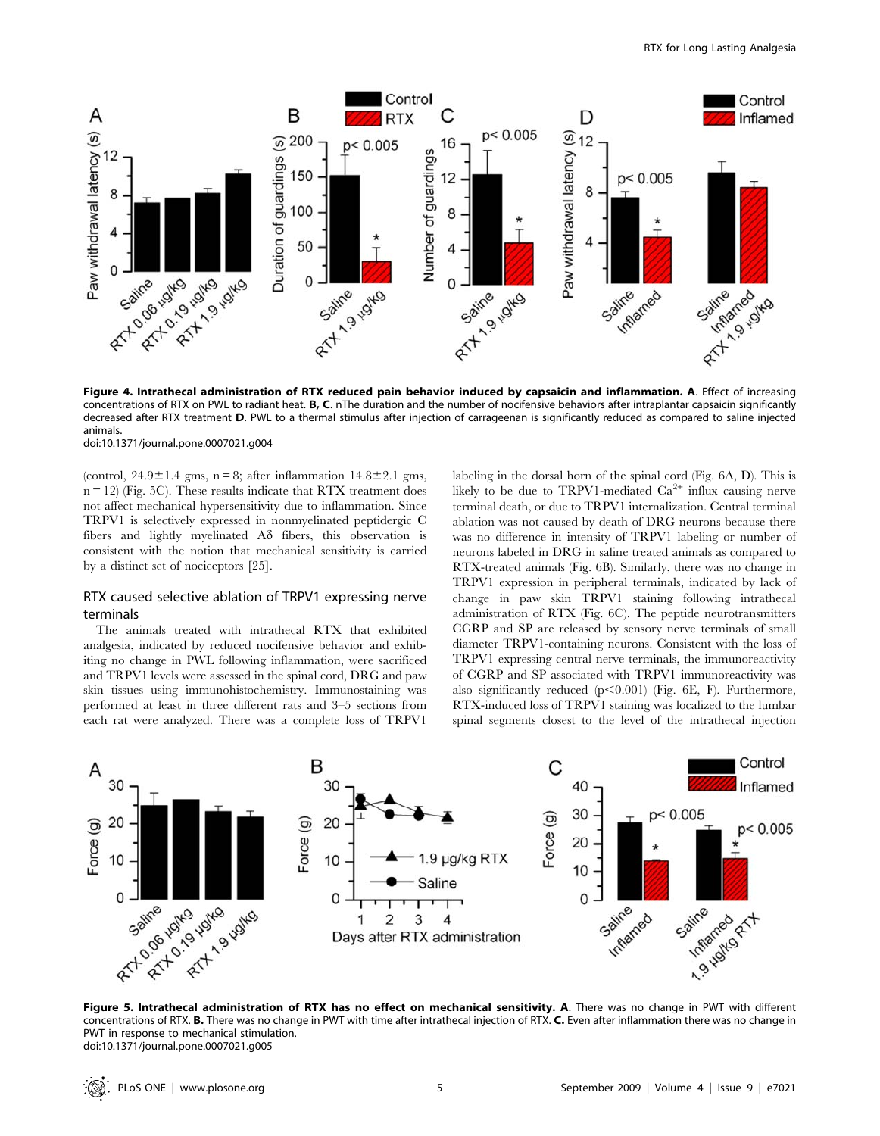

concentrations of RTX on PWL to radiant heat. B, C. nThe duration and the number of nocifensive behaviors after intraplantar capsaicin significantly decreased after RTX treatment D. PWL to a thermal stimulus after injection of carrageenan is significantly reduced as compared to saline injected animals.

doi:10.1371/journal.pone.0007021.g004

(control,  $24.9 \pm 1.4$  gms, n = 8; after inflammation  $14.8 \pm 2.1$  gms,  $n = 12$ ) (Fig. 5C). These results indicate that RTX treatment does not affect mechanical hypersensitivity due to inflammation. Since TRPV1 is selectively expressed in nonmyelinated peptidergic C fibers and lightly myelinated  $A\delta$  fibers, this observation is consistent with the notion that mechanical sensitivity is carried by a distinct set of nociceptors [25].

# RTX caused selective ablation of TRPV1 expressing nerve terminals

The animals treated with intrathecal RTX that exhibited analgesia, indicated by reduced nocifensive behavior and exhibiting no change in PWL following inflammation, were sacrificed and TRPV1 levels were assessed in the spinal cord, DRG and paw skin tissues using immunohistochemistry. Immunostaining was performed at least in three different rats and 3–5 sections from each rat were analyzed. There was a complete loss of TRPV1

labeling in the dorsal horn of the spinal cord (Fig. 6A, D). This is likely to be due to TRPV1-mediated  $Ca^{2+}$  influx causing nerve terminal death, or due to TRPV1 internalization. Central terminal ablation was not caused by death of DRG neurons because there was no difference in intensity of TRPV1 labeling or number of neurons labeled in DRG in saline treated animals as compared to RTX-treated animals (Fig. 6B). Similarly, there was no change in TRPV1 expression in peripheral terminals, indicated by lack of change in paw skin TRPV1 staining following intrathecal administration of RTX (Fig. 6C). The peptide neurotransmitters CGRP and SP are released by sensory nerve terminals of small diameter TRPV1-containing neurons. Consistent with the loss of TRPV1 expressing central nerve terminals, the immunoreactivity of CGRP and SP associated with TRPV1 immunoreactivity was also significantly reduced  $(p<0.001)$  (Fig. 6E, F). Furthermore, RTX-induced loss of TRPV1 staining was localized to the lumbar spinal segments closest to the level of the intrathecal injection



concentrations of RTX. B. There was no change in PWT with time after intrathecal injection of RTX. C. Even after inflammation there was no change in PWT in response to mechanical stimulation. doi:10.1371/journal.pone.0007021.g005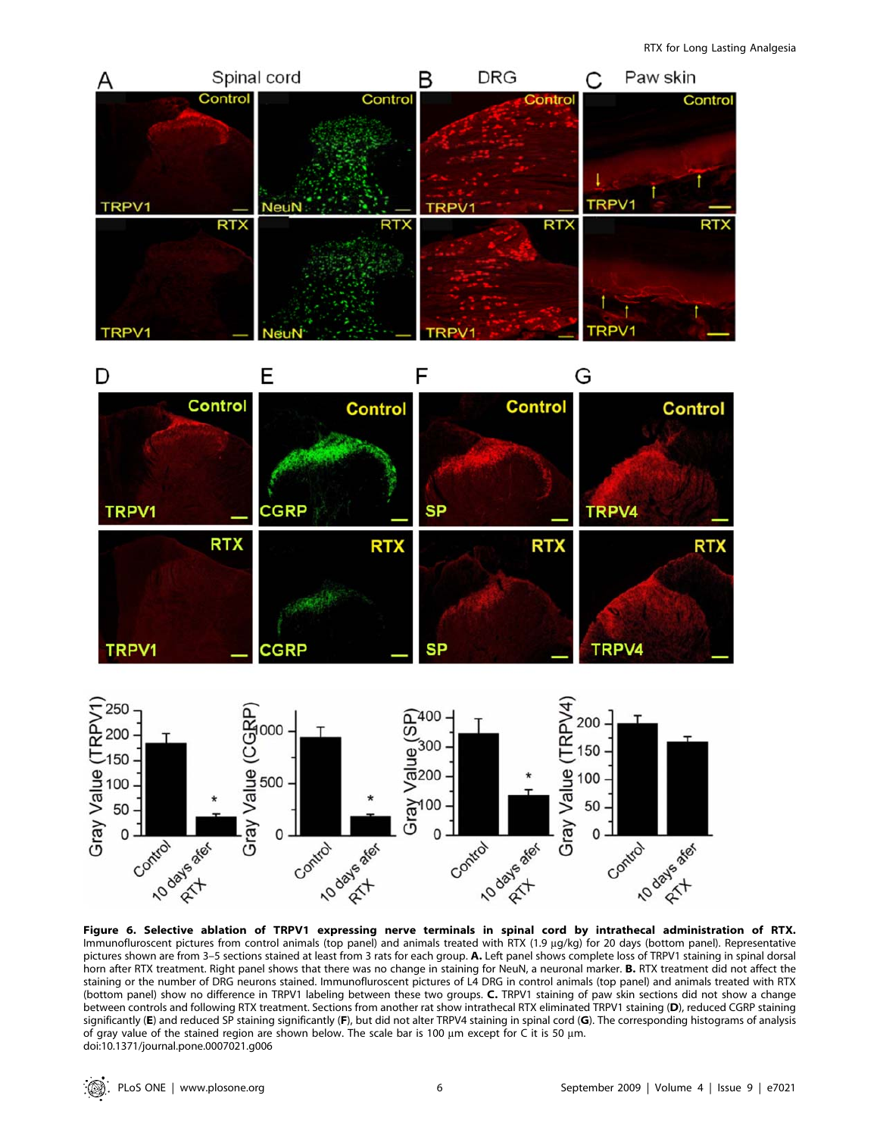

Immunofluroscent pictures from control animals (top panel) and animals treated with RTX (1.9 µg/kg) for 20 days (bottom panel). Representative pictures shown are from 3–5 sections stained at least from 3 rats for each group. A. Left panel shows complete loss of TRPV1 staining in spinal dorsal horn after RTX treatment. Right panel shows that there was no change in staining for NeuN, a neuronal marker. B. RTX treatment did not affect the staining or the number of DRG neurons stained. Immunofluroscent pictures of L4 DRG in control animals (top panel) and animals treated with RTX (bottom panel) show no difference in TRPV1 labeling between these two groups. C. TRPV1 staining of paw skin sections did not show a change between controls and following RTX treatment. Sections from another rat show intrathecal RTX eliminated TRPV1 staining (D), reduced CGRP staining significantly (E) and reduced SP staining significantly (F), but did not alter TRPV4 staining in spinal cord (G). The corresponding histograms of analysis of gray value of the stained region are shown below. The scale bar is 100  $\mu$ m except for C it is 50  $\mu$ m. doi:10.1371/journal.pone.0007021.g006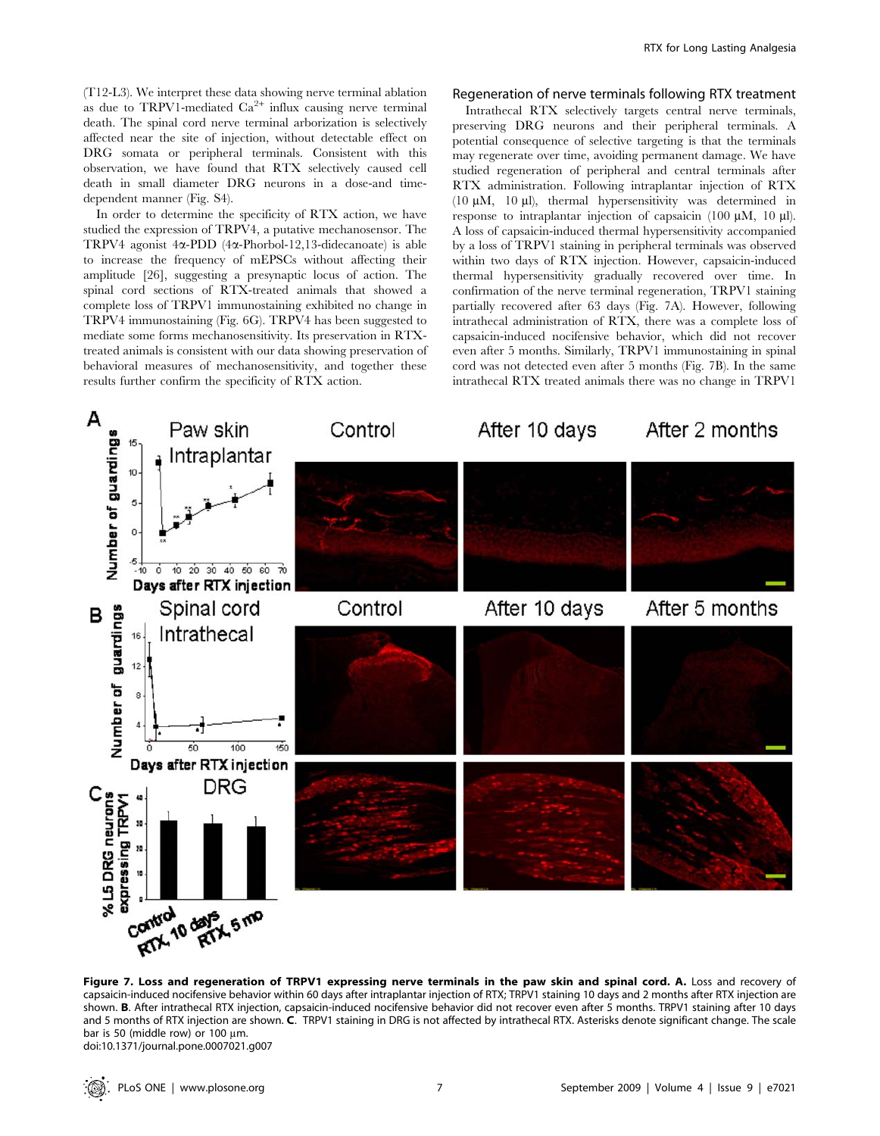(T12-L3). We interpret these data showing nerve terminal ablation as due to TRPV1-mediated  $Ca^{2+}$  influx causing nerve terminal death. The spinal cord nerve terminal arborization is selectively affected near the site of injection, without detectable effect on DRG somata or peripheral terminals. Consistent with this observation, we have found that RTX selectively caused cell death in small diameter DRG neurons in a dose-and timedependent manner (Fig. S4).

In order to determine the specificity of RTX action, we have studied the expression of TRPV4, a putative mechanosensor. The TRPV4 agonist 4a-PDD (4a-Phorbol-12,13-didecanoate) is able to increase the frequency of mEPSCs without affecting their amplitude [26], suggesting a presynaptic locus of action. The spinal cord sections of RTX-treated animals that showed a complete loss of TRPV1 immunostaining exhibited no change in TRPV4 immunostaining (Fig. 6G). TRPV4 has been suggested to mediate some forms mechanosensitivity. Its preservation in RTXtreated animals is consistent with our data showing preservation of behavioral measures of mechanosensitivity, and together these results further confirm the specificity of RTX action.

#### Regeneration of nerve terminals following RTX treatment

Intrathecal RTX selectively targets central nerve terminals, preserving DRG neurons and their peripheral terminals. A potential consequence of selective targeting is that the terminals may regenerate over time, avoiding permanent damage. We have studied regeneration of peripheral and central terminals after RTX administration. Following intraplantar injection of RTX (10  $\mu$ M, 10  $\mu$ l), thermal hypersensitivity was determined in response to intraplantar injection of capsaicin  $(100 \mu M, 10 \mu I)$ . A loss of capsaicin-induced thermal hypersensitivity accompanied by a loss of TRPV1 staining in peripheral terminals was observed within two days of RTX injection. However, capsaicin-induced thermal hypersensitivity gradually recovered over time. In confirmation of the nerve terminal regeneration, TRPV1 staining partially recovered after 63 days (Fig. 7A). However, following intrathecal administration of RTX, there was a complete loss of capsaicin-induced nocifensive behavior, which did not recover even after 5 months. Similarly, TRPV1 immunostaining in spinal cord was not detected even after 5 months (Fig. 7B). In the same intrathecal RTX treated animals there was no change in TRPV1



Figure 7. Loss and regeneration of TRPV1 expressing nerve terminals in the paw skin and spinal cord. A. Loss and recovery of capsaicin-induced nocifensive behavior within 60 days after intraplantar injection of RTX; TRPV1 staining 10 days and 2 months after RTX injection are shown. B. After intrathecal RTX injection, capsaicin-induced nocifensive behavior did not recover even after 5 months. TRPV1 staining after 10 days and 5 months of RTX injection are shown. C. TRPV1 staining in DRG is not affected by intrathecal RTX. Asterisks denote significant change. The scale bar is 50 (middle row) or 100  $\mu$ m. doi:10.1371/journal.pone.0007021.g007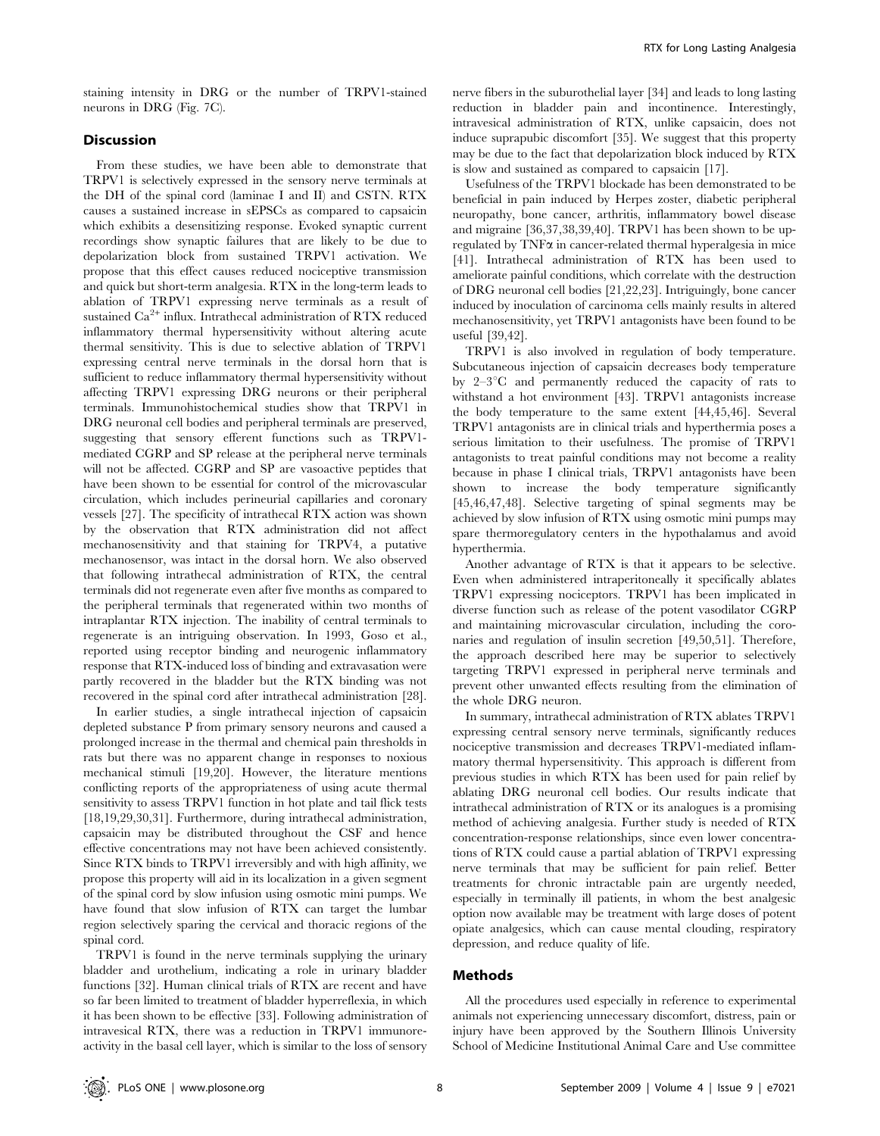staining intensity in DRG or the number of TRPV1-stained neurons in DRG (Fig. 7C).

# Discussion

From these studies, we have been able to demonstrate that TRPV1 is selectively expressed in the sensory nerve terminals at the DH of the spinal cord (laminae I and II) and CSTN. RTX causes a sustained increase in sEPSCs as compared to capsaicin which exhibits a desensitizing response. Evoked synaptic current recordings show synaptic failures that are likely to be due to depolarization block from sustained TRPV1 activation. We propose that this effect causes reduced nociceptive transmission and quick but short-term analgesia. RTX in the long-term leads to ablation of TRPV1 expressing nerve terminals as a result of sustained Ca<sup>2+</sup> influx. Intrathecal administration of RTX reduced inflammatory thermal hypersensitivity without altering acute thermal sensitivity. This is due to selective ablation of TRPV1 expressing central nerve terminals in the dorsal horn that is sufficient to reduce inflammatory thermal hypersensitivity without affecting TRPV1 expressing DRG neurons or their peripheral terminals. Immunohistochemical studies show that TRPV1 in DRG neuronal cell bodies and peripheral terminals are preserved, suggesting that sensory efferent functions such as TRPV1 mediated CGRP and SP release at the peripheral nerve terminals will not be affected. CGRP and SP are vasoactive peptides that have been shown to be essential for control of the microvascular circulation, which includes perineurial capillaries and coronary vessels [27]. The specificity of intrathecal RTX action was shown by the observation that RTX administration did not affect mechanosensitivity and that staining for TRPV4, a putative mechanosensor, was intact in the dorsal horn. We also observed that following intrathecal administration of RTX, the central terminals did not regenerate even after five months as compared to the peripheral terminals that regenerated within two months of intraplantar RTX injection. The inability of central terminals to regenerate is an intriguing observation. In 1993, Goso et al., reported using receptor binding and neurogenic inflammatory response that RTX-induced loss of binding and extravasation were partly recovered in the bladder but the RTX binding was not recovered in the spinal cord after intrathecal administration [28].

In earlier studies, a single intrathecal injection of capsaicin depleted substance P from primary sensory neurons and caused a prolonged increase in the thermal and chemical pain thresholds in rats but there was no apparent change in responses to noxious mechanical stimuli [19,20]. However, the literature mentions conflicting reports of the appropriateness of using acute thermal sensitivity to assess TRPV1 function in hot plate and tail flick tests [18,19,29,30,31]. Furthermore, during intrathecal administration, capsaicin may be distributed throughout the CSF and hence effective concentrations may not have been achieved consistently. Since RTX binds to TRPV1 irreversibly and with high affinity, we propose this property will aid in its localization in a given segment of the spinal cord by slow infusion using osmotic mini pumps. We have found that slow infusion of RTX can target the lumbar region selectively sparing the cervical and thoracic regions of the spinal cord.

TRPV1 is found in the nerve terminals supplying the urinary bladder and urothelium, indicating a role in urinary bladder functions [32]. Human clinical trials of RTX are recent and have so far been limited to treatment of bladder hyperreflexia, in which it has been shown to be effective [33]. Following administration of intravesical RTX, there was a reduction in TRPV1 immunoreactivity in the basal cell layer, which is similar to the loss of sensory nerve fibers in the suburothelial layer [34] and leads to long lasting reduction in bladder pain and incontinence. Interestingly, intravesical administration of RTX, unlike capsaicin, does not induce suprapubic discomfort [35]. We suggest that this property may be due to the fact that depolarization block induced by RTX is slow and sustained as compared to capsaicin [17].

Usefulness of the TRPV1 blockade has been demonstrated to be beneficial in pain induced by Herpes zoster, diabetic peripheral neuropathy, bone cancer, arthritis, inflammatory bowel disease and migraine [36,37,38,39,40]. TRPV1 has been shown to be upregulated by  $TNF\alpha$  in cancer-related thermal hyperalgesia in mice [41]. Intrathecal administration of RTX has been used to ameliorate painful conditions, which correlate with the destruction of DRG neuronal cell bodies [21,22,23]. Intriguingly, bone cancer induced by inoculation of carcinoma cells mainly results in altered mechanosensitivity, yet TRPV1 antagonists have been found to be useful [39,42].

TRPV1 is also involved in regulation of body temperature. Subcutaneous injection of capsaicin decreases body temperature by  $2-3$ <sup>o</sup>C and permanently reduced the capacity of rats to withstand a hot environment [43]. TRPV1 antagonists increase the body temperature to the same extent [44,45,46]. Several TRPV1 antagonists are in clinical trials and hyperthermia poses a serious limitation to their usefulness. The promise of TRPV1 antagonists to treat painful conditions may not become a reality because in phase I clinical trials, TRPV1 antagonists have been shown to increase the body temperature significantly [45,46,47,48]. Selective targeting of spinal segments may be achieved by slow infusion of RTX using osmotic mini pumps may spare thermoregulatory centers in the hypothalamus and avoid hyperthermia.

Another advantage of RTX is that it appears to be selective. Even when administered intraperitoneally it specifically ablates TRPV1 expressing nociceptors. TRPV1 has been implicated in diverse function such as release of the potent vasodilator CGRP and maintaining microvascular circulation, including the coronaries and regulation of insulin secretion [49,50,51]. Therefore, the approach described here may be superior to selectively targeting TRPV1 expressed in peripheral nerve terminals and prevent other unwanted effects resulting from the elimination of the whole DRG neuron.

In summary, intrathecal administration of RTX ablates TRPV1 expressing central sensory nerve terminals, significantly reduces nociceptive transmission and decreases TRPV1-mediated inflammatory thermal hypersensitivity. This approach is different from previous studies in which RTX has been used for pain relief by ablating DRG neuronal cell bodies. Our results indicate that intrathecal administration of RTX or its analogues is a promising method of achieving analgesia. Further study is needed of RTX concentration-response relationships, since even lower concentrations of RTX could cause a partial ablation of TRPV1 expressing nerve terminals that may be sufficient for pain relief. Better treatments for chronic intractable pain are urgently needed, especially in terminally ill patients, in whom the best analgesic option now available may be treatment with large doses of potent opiate analgesics, which can cause mental clouding, respiratory depression, and reduce quality of life.

#### Methods

All the procedures used especially in reference to experimental animals not experiencing unnecessary discomfort, distress, pain or injury have been approved by the Southern Illinois University School of Medicine Institutional Animal Care and Use committee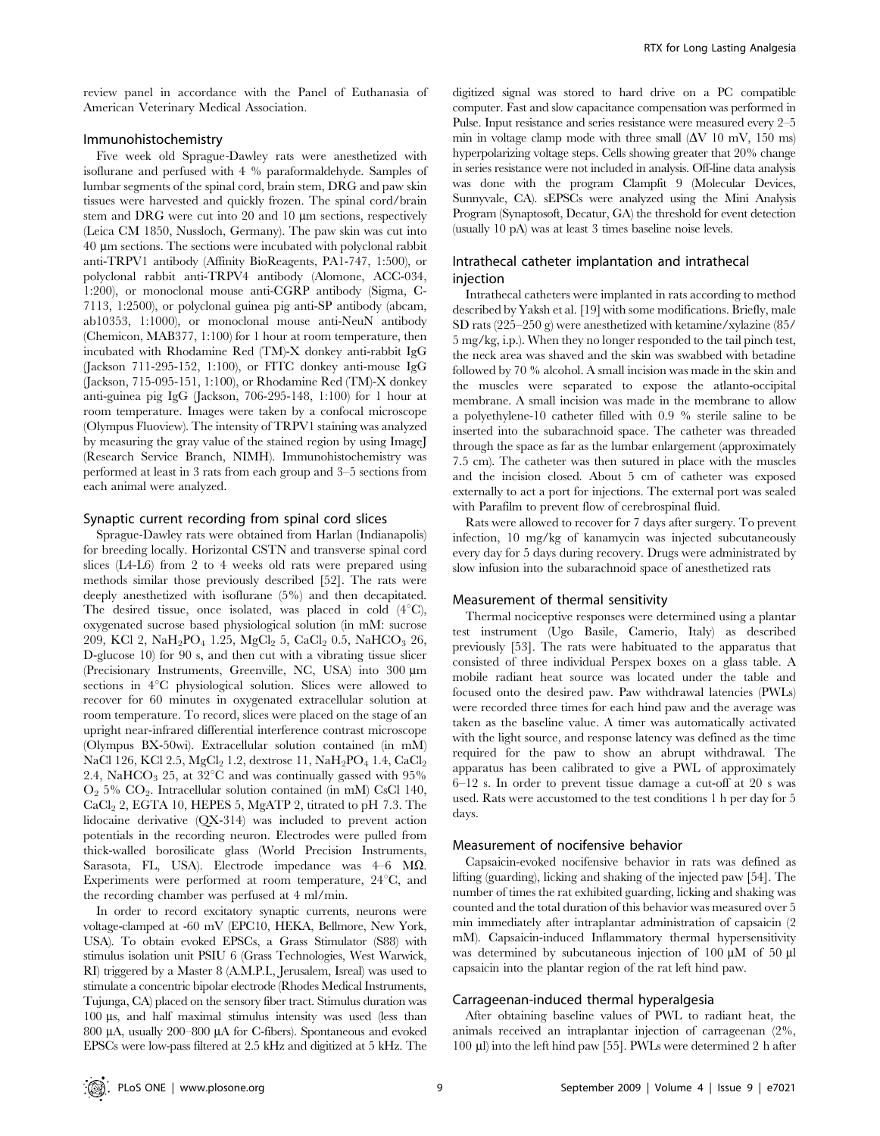review panel in accordance with the Panel of Euthanasia of American Veterinary Medical Association.

#### Immunohistochemistry

Five week old Sprague-Dawley rats were anesthetized with isoflurane and perfused with 4 % paraformaldehyde. Samples of lumbar segments of the spinal cord, brain stem, DRG and paw skin tissues were harvested and quickly frozen. The spinal cord/brain stem and DRG were cut into  $20$  and  $10 \mu m$  sections, respectively (Leica CM 1850, Nussloch, Germany). The paw skin was cut into 40 mm sections. The sections were incubated with polyclonal rabbit anti-TRPV1 antibody (Affinity BioReagents, PA1-747, 1:500), or polyclonal rabbit anti-TRPV4 antibody (Alomone, ACC-034, 1:200), or monoclonal mouse anti-CGRP antibody (Sigma, C-7113, 1:2500), or polyclonal guinea pig anti-SP antibody (abcam, ab10353, 1:1000), or monoclonal mouse anti-NeuN antibody (Chemicon, MAB377, 1:100) for 1 hour at room temperature, then incubated with Rhodamine Red (TM)-X donkey anti-rabbit IgG (Jackson 711-295-152, 1:100), or FITC donkey anti-mouse IgG (Jackson, 715-095-151, 1:100), or Rhodamine Red (TM)-X donkey anti-guinea pig IgG (Jackson, 706-295-148, 1:100) for 1 hour at room temperature. Images were taken by a confocal microscope (Olympus Fluoview). The intensity of TRPV1 staining was analyzed by measuring the gray value of the stained region by using ImageJ (Research Service Branch, NIMH). Immunohistochemistry was performed at least in 3 rats from each group and 3–5 sections from each animal were analyzed.

### Synaptic current recording from spinal cord slices

Sprague-Dawley rats were obtained from Harlan (Indianapolis) for breeding locally. Horizontal CSTN and transverse spinal cord slices (L4-L6) from 2 to 4 weeks old rats were prepared using methods similar those previously described [52]. The rats were deeply anesthetized with isoflurane (5%) and then decapitated. The desired tissue, once isolated, was placed in cold  $(4^{\circ}C)$ , oxygenated sucrose based physiological solution (in mM: sucrose 209, KCl 2, NaH<sub>2</sub>PO<sub>4</sub> 1.25, MgCl<sub>2</sub> 5, CaCl<sub>2</sub> 0.5, NaHCO<sub>3</sub> 26, D-glucose 10) for 90 s, and then cut with a vibrating tissue slicer (Precisionary Instruments, Greenville, NC, USA) into 300  $\mu$ m sections in  $4^{\circ}$ C physiological solution. Slices were allowed to recover for 60 minutes in oxygenated extracellular solution at room temperature. To record, slices were placed on the stage of an upright near-infrared differential interference contrast microscope (Olympus BX-50wi). Extracellular solution contained (in mM) NaCl 126, KCl 2.5, MgCl<sub>2</sub> 1.2, dextrose 11, NaH<sub>2</sub>PO<sub>4</sub> 1.4, CaCl<sub>2</sub> 2.4, NaHCO<sub>3</sub> 25, at  $32^{\circ}$ C and was continually gassed with 95%  $O_2$  5%  $CO_2$ . Intracellular solution contained (in mM) CsCl 140, CaCl2 2, EGTA 10, HEPES 5, MgATP 2, titrated to pH 7.3. The lidocaine derivative (QX-314) was included to prevent action potentials in the recording neuron. Electrodes were pulled from thick-walled borosilicate glass (World Precision Instruments, Sarasota, FL, USA). Electrode impedance was  $4-6$  M $\Omega$ . Experiments were performed at room temperature,  $24^{\circ}C$ , and the recording chamber was perfused at 4 ml/min.

In order to record excitatory synaptic currents, neurons were voltage-clamped at -60 mV (EPC10, HEKA, Bellmore, New York, USA). To obtain evoked EPSCs, a Grass Stimulator (S88) with stimulus isolation unit PSIU 6 (Grass Technologies, West Warwick, RI) triggered by a Master 8 (A.M.P.I., Jerusalem, Isreal) was used to stimulate a concentric bipolar electrode (Rhodes Medical Instruments, Tujunga, CA) placed on the sensory fiber tract. Stimulus duration was 100 ms, and half maximal stimulus intensity was used (less than 800 µA, usually 200–800 µA for C-fibers). Spontaneous and evoked EPSCs were low-pass filtered at 2.5 kHz and digitized at 5 kHz. The

digitized signal was stored to hard drive on a PC compatible computer. Fast and slow capacitance compensation was performed in Pulse. Input resistance and series resistance were measured every 2–5 min in voltage clamp mode with three small  $(\Delta V 10 \text{ mV}, 150 \text{ ms})$ hyperpolarizing voltage steps. Cells showing greater that 20% change in series resistance were not included in analysis. Off-line data analysis was done with the program Clampfit 9 (Molecular Devices, Sunnyvale, CA). sEPSCs were analyzed using the Mini Analysis Program (Synaptosoft, Decatur, GA) the threshold for event detection (usually 10 pA) was at least 3 times baseline noise levels.

# Intrathecal catheter implantation and intrathecal injection

Intrathecal catheters were implanted in rats according to method described by Yaksh et al. [19] with some modifications. Briefly, male SD rats (225–250 g) were anesthetized with ketamine/xylazine (85/ 5 mg/kg, i.p.). When they no longer responded to the tail pinch test, the neck area was shaved and the skin was swabbed with betadine followed by 70 % alcohol. A small incision was made in the skin and the muscles were separated to expose the atlanto-occipital membrane. A small incision was made in the membrane to allow a polyethylene-10 catheter filled with 0.9 % sterile saline to be inserted into the subarachnoid space. The catheter was threaded through the space as far as the lumbar enlargement (approximately 7.5 cm). The catheter was then sutured in place with the muscles and the incision closed. About 5 cm of catheter was exposed externally to act a port for injections. The external port was sealed with Parafilm to prevent flow of cerebrospinal fluid.

Rats were allowed to recover for 7 days after surgery. To prevent infection, 10 mg/kg of kanamycin was injected subcutaneously every day for 5 days during recovery. Drugs were administrated by slow infusion into the subarachnoid space of anesthetized rats

#### Measurement of thermal sensitivity

Thermal nociceptive responses were determined using a plantar test instrument (Ugo Basile, Camerio, Italy) as described previously [53]. The rats were habituated to the apparatus that consisted of three individual Perspex boxes on a glass table. A mobile radiant heat source was located under the table and focused onto the desired paw. Paw withdrawal latencies (PWLs) were recorded three times for each hind paw and the average was taken as the baseline value. A timer was automatically activated with the light source, and response latency was defined as the time required for the paw to show an abrupt withdrawal. The apparatus has been calibrated to give a PWL of approximately 6–12 s. In order to prevent tissue damage a cut-off at 20 s was used. Rats were accustomed to the test conditions 1 h per day for 5 days.

## Measurement of nocifensive behavior

Capsaicin-evoked nocifensive behavior in rats was defined as lifting (guarding), licking and shaking of the injected paw [54]. The number of times the rat exhibited guarding, licking and shaking was counted and the total duration of this behavior was measured over 5 min immediately after intraplantar administration of capsaicin (2 mM). Capsaicin-induced Inflammatory thermal hypersensitivity was determined by subcutaneous injection of 100  $\mu$ M of 50  $\mu$ l capsaicin into the plantar region of the rat left hind paw.

#### Carrageenan-induced thermal hyperalgesia

After obtaining baseline values of PWL to radiant heat, the animals received an intraplantar injection of carrageenan (2%, 100 ml) into the left hind paw [55]. PWLs were determined 2 h after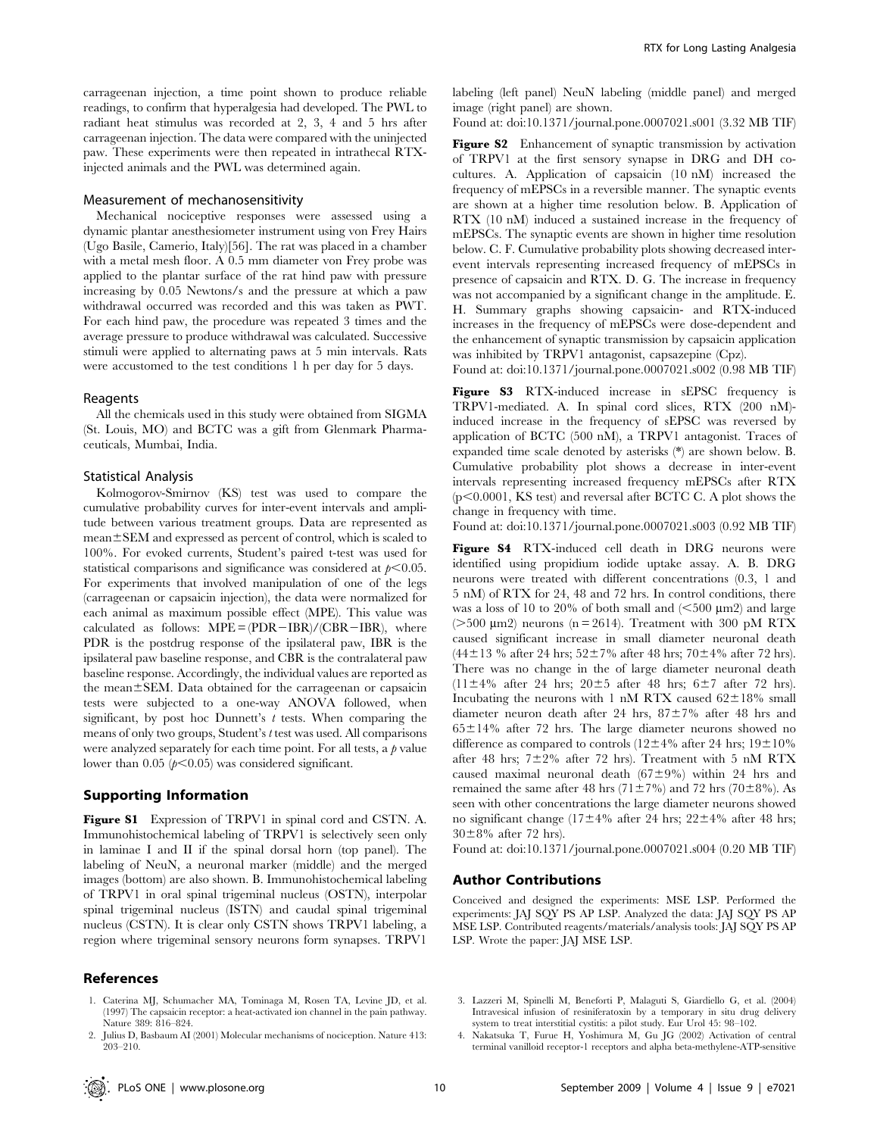carrageenan injection, a time point shown to produce reliable readings, to confirm that hyperalgesia had developed. The PWL to radiant heat stimulus was recorded at 2, 3, 4 and 5 hrs after carrageenan injection. The data were compared with the uninjected paw. These experiments were then repeated in intrathecal RTXinjected animals and the PWL was determined again.

#### Measurement of mechanosensitivity

Mechanical nociceptive responses were assessed using a dynamic plantar anesthesiometer instrument using von Frey Hairs (Ugo Basile, Camerio, Italy)[56]. The rat was placed in a chamber with a metal mesh floor. A 0.5 mm diameter von Frey probe was applied to the plantar surface of the rat hind paw with pressure increasing by 0.05 Newtons/s and the pressure at which a paw withdrawal occurred was recorded and this was taken as PWT. For each hind paw, the procedure was repeated 3 times and the average pressure to produce withdrawal was calculated. Successive stimuli were applied to alternating paws at 5 min intervals. Rats were accustomed to the test conditions 1 h per day for 5 days.

#### Reagents

All the chemicals used in this study were obtained from SIGMA (St. Louis, MO) and BCTC was a gift from Glenmark Pharmaceuticals, Mumbai, India.

## Statistical Analysis

Kolmogorov-Smirnov (KS) test was used to compare the cumulative probability curves for inter-event intervals and amplitude between various treatment groups. Data are represented as  $mean \pm SEM$  and expressed as percent of control, which is scaled to 100%. For evoked currents, Student's paired t-test was used for statistical comparisons and significance was considered at  $p<0.05$ . For experiments that involved manipulation of one of the legs (carrageenan or capsaicin injection), the data were normalized for each animal as maximum possible effect (MPE). This value was calculated as follows:  $MPE = (PDR - IBR)/(CBR - IBR)$ , where PDR is the postdrug response of the ipsilateral paw, IBR is the ipsilateral paw baseline response, and CBR is the contralateral paw baseline response. Accordingly, the individual values are reported as the mean $\pm$ SEM. Data obtained for the carrageenan or capsaicin tests were subjected to a one-way ANOVA followed, when significant, by post hoc Dunnett's  $t$  tests. When comparing the means of only two groups, Student's t test was used. All comparisons were analyzed separately for each time point. For all tests, a  $\beta$  value lower than 0.05  $(p<0.05)$  was considered significant.

# Supporting Information

Figure S1 Expression of TRPV1 in spinal cord and CSTN. A. Immunohistochemical labeling of TRPV1 is selectively seen only in laminae I and II if the spinal dorsal horn (top panel). The labeling of NeuN, a neuronal marker (middle) and the merged images (bottom) are also shown. B. Immunohistochemical labeling of TRPV1 in oral spinal trigeminal nucleus (OSTN), interpolar spinal trigeminal nucleus (ISTN) and caudal spinal trigeminal nucleus (CSTN). It is clear only CSTN shows TRPV1 labeling, a region where trigeminal sensory neurons form synapses. TRPV1

# References

1. Caterina MJ, Schumacher MA, Tominaga M, Rosen TA, Levine JD, et al. (1997) The capsaicin receptor: a heat-activated ion channel in the pain pathway. Nature 389: 816–824.

labeling (left panel) NeuN labeling (middle panel) and merged image (right panel) are shown.

Found at: doi:10.1371/journal.pone.0007021.s001 (3.32 MB TIF)

Figure S2 Enhancement of synaptic transmission by activation of TRPV1 at the first sensory synapse in DRG and DH cocultures. A. Application of capsaicin (10 nM) increased the frequency of mEPSCs in a reversible manner. The synaptic events are shown at a higher time resolution below. B. Application of RTX (10 nM) induced a sustained increase in the frequency of mEPSCs. The synaptic events are shown in higher time resolution below. C. F. Cumulative probability plots showing decreased interevent intervals representing increased frequency of mEPSCs in presence of capsaicin and RTX. D. G. The increase in frequency was not accompanied by a significant change in the amplitude. E. H. Summary graphs showing capsaicin- and RTX-induced increases in the frequency of mEPSCs were dose-dependent and the enhancement of synaptic transmission by capsaicin application was inhibited by TRPV1 antagonist, capsazepine (Cpz).

Found at: doi:10.1371/journal.pone.0007021.s002 (0.98 MB TIF)

Figure S3 RTX-induced increase in sEPSC frequency is TRPV1-mediated. A. In spinal cord slices, RTX (200 nM) induced increase in the frequency of sEPSC was reversed by application of BCTC (500 nM), a TRPV1 antagonist. Traces of expanded time scale denoted by asterisks (\*) are shown below. B. Cumulative probability plot shows a decrease in inter-event intervals representing increased frequency mEPSCs after RTX  $(p<0.0001,$  KS test) and reversal after BCTC C. A plot shows the change in frequency with time.

Found at: doi:10.1371/journal.pone.0007021.s003 (0.92 MB TIF)

Figure S4 RTX-induced cell death in DRG neurons were identified using propidium iodide uptake assay. A. B. DRG neurons were treated with different concentrations (0.3, 1 and 5 nM) of RTX for 24, 48 and 72 hrs. In control conditions, there was a loss of 10 to 20% of both small and  $(<500 \text{ }\mu\text{m2})$  and large ( $>500 \mu m$ 2) neurons (n = 2614). Treatment with 300 pM RTX caused significant increase in small diameter neuronal death  $(44\pm13 \% \text{ after } 24 \text{ hrs}; 52\pm7\% \text{ after } 48 \text{ hrs}; 70\pm4\% \text{ after } 72 \text{ hrs}).$ There was no change in the of large diameter neuronal death  $(11\pm4\%$  after 24 hrs;  $20\pm5$  after 48 hrs; 6 $\pm7$  after 72 hrs). Incubating the neurons with 1 nM RTX caused  $62\pm18\%$  small diameter neuron death after 24 hrs,  $87±7%$  after 48 hrs and  $65\pm14\%$  after 72 hrs. The large diameter neurons showed no difference as compared to controls ( $12±4%$  after 24 hrs;  $19±10%$ after 48 hrs;  $7\pm2\%$  after 72 hrs). Treatment with 5 nM RTX caused maximal neuronal death  $(67\pm9\%)$  within 24 hrs and remained the same after 48 hrs (71 $\pm$ 7%) and 72 hrs (70 $\pm$ 8%). As seen with other concentrations the large diameter neurons showed no significant change (17 $\pm$ 4% after 24 hrs; 22 $\pm$ 4% after 48 hrs;  $30\pm8\%$  after 72 hrs).

Found at: doi:10.1371/journal.pone.0007021.s004 (0.20 MB TIF)

#### Author Contributions

Conceived and designed the experiments: MSE LSP. Performed the experiments: JAJ SQY PS AP LSP. Analyzed the data: JAJ SQY PS AP MSE LSP. Contributed reagents/materials/analysis tools: JAJ SQY PS AP LSP. Wrote the paper: JAJ MSE LSP.

- 3. Lazzeri M, Spinelli M, Beneforti P, Malaguti S, Giardiello G, et al. (2004) Intravesical infusion of resiniferatoxin by a temporary in situ drug delivery system to treat interstitial cystitis: a pilot study. Eur Urol 45: 98–102.
- 4. Nakatsuka T, Furue H, Yoshimura M, Gu JG (2002) Activation of central terminal vanilloid receptor-1 receptors and alpha beta-methylene-ATP-sensitive